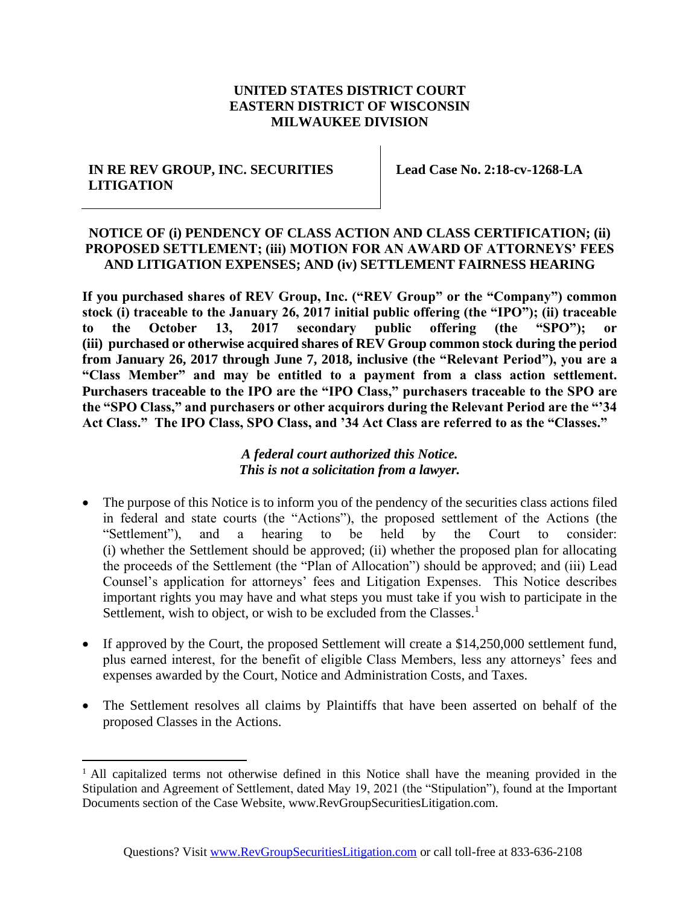### **UNITED STATES DISTRICT COURT EASTERN DISTRICT OF WISCONSIN MILWAUKEE DIVISION**

#### **IN RE REV GROUP, INC. SECURITIES LITIGATION**

**Lead Case No. 2:18-cv-1268-LA**

### **NOTICE OF (i) PENDENCY OF CLASS ACTION AND CLASS CERTIFICATION; (ii) PROPOSED SETTLEMENT; (iii) MOTION FOR AN AWARD OF ATTORNEYS' FEES AND LITIGATION EXPENSES; AND (iv) SETTLEMENT FAIRNESS HEARING**

**If you purchased shares of REV Group, Inc. ("REV Group" or the "Company") common stock (i) traceable to the January 26, 2017 initial public offering (the "IPO"); (ii) traceable to the October 13, 2017 secondary public offering (the "SPO"); or (iii) purchased or otherwise acquired shares of REV Group common stock during the period from January 26, 2017 through June 7, 2018, inclusive (the "Relevant Period"), you are a "Class Member" and may be entitled to a payment from a class action settlement. Purchasers traceable to the IPO are the "IPO Class," purchasers traceable to the SPO are the "SPO Class," and purchasers or other acquirors during the Relevant Period are the "'34 Act Class." The IPO Class, SPO Class, and '34 Act Class are referred to as the "Classes."**

### *A federal court authorized this Notice. This is not a solicitation from a lawyer.*

- The purpose of this Notice is to inform you of the pendency of the securities class actions filed in federal and state courts (the "Actions"), the proposed settlement of the Actions (the "Settlement"), and a hearing to be held by the Court to consider: (i) whether the Settlement should be approved; (ii) whether the proposed plan for allocating the proceeds of the Settlement (the "Plan of Allocation") should be approved; and (iii) Lead Counsel's application for attorneys' fees and Litigation Expenses. This Notice describes important rights you may have and what steps you must take if you wish to participate in the Settlement, wish to object, or wish to be excluded from the Classes.<sup>1</sup>
- If approved by the Court, the proposed Settlement will create a \$14,250,000 settlement fund, plus earned interest, for the benefit of eligible Class Members, less any attorneys' fees and expenses awarded by the Court, Notice and Administration Costs, and Taxes.
- The Settlement resolves all claims by Plaintiffs that have been asserted on behalf of the proposed Classes in the Actions.

<sup>&</sup>lt;sup>1</sup> All capitalized terms not otherwise defined in this Notice shall have the meaning provided in the Stipulation and Agreement of Settlement, dated May 19, 2021 (the "Stipulation"), found at the Important Documents section of the Case Website, www.RevGroupSecuritiesLitigation.com.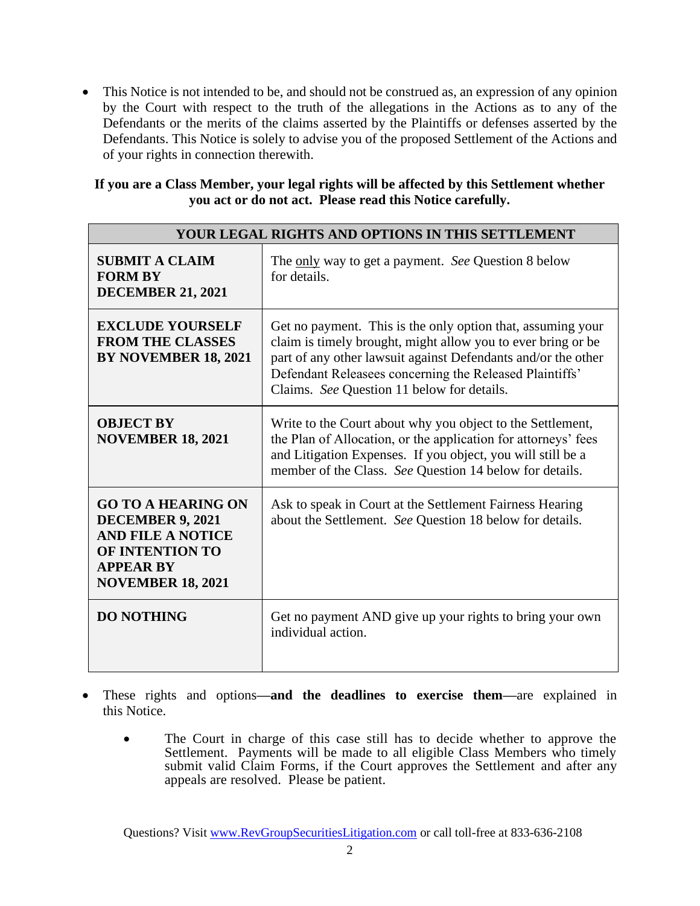• This Notice is not intended to be, and should not be construed as, an expression of any opinion by the Court with respect to the truth of the allegations in the Actions as to any of the Defendants or the merits of the claims asserted by the Plaintiffs or defenses asserted by the Defendants. This Notice is solely to advise you of the proposed Settlement of the Actions and of your rights in connection therewith.

#### **If you are a Class Member, your legal rights will be affected by this Settlement whether you act or do not act. Please read this Notice carefully.**

| <b>YOUR LEGAL RIGHTS AND OPTIONS IN THIS SETTLEMENT</b>                                                                                                    |                                                                                                                                                                                                                                                                                                       |  |
|------------------------------------------------------------------------------------------------------------------------------------------------------------|-------------------------------------------------------------------------------------------------------------------------------------------------------------------------------------------------------------------------------------------------------------------------------------------------------|--|
| <b>SUBMIT A CLAIM</b><br><b>FORM BY</b><br><b>DECEMBER 21, 2021</b>                                                                                        | The only way to get a payment. See Question 8 below<br>for details.                                                                                                                                                                                                                                   |  |
| <b>EXCLUDE YOURSELF</b><br><b>FROM THE CLASSES</b><br>BY NOVEMBER 18, 2021                                                                                 | Get no payment. This is the only option that, assuming your<br>claim is timely brought, might allow you to ever bring or be<br>part of any other lawsuit against Defendants and/or the other<br>Defendant Releasees concerning the Released Plaintiffs'<br>Claims. See Question 11 below for details. |  |
| <b>OBJECT BY</b><br><b>NOVEMBER 18, 2021</b>                                                                                                               | Write to the Court about why you object to the Settlement,<br>the Plan of Allocation, or the application for attorneys' fees<br>and Litigation Expenses. If you object, you will still be a<br>member of the Class. See Question 14 below for details.                                                |  |
| <b>GO TO A HEARING ON</b><br><b>DECEMBER 9, 2021</b><br><b>AND FILE A NOTICE</b><br><b>OF INTENTION TO</b><br><b>APPEAR BY</b><br><b>NOVEMBER 18, 2021</b> | Ask to speak in Court at the Settlement Fairness Hearing<br>about the Settlement. See Question 18 below for details.                                                                                                                                                                                  |  |
| <b>DO NOTHING</b>                                                                                                                                          | Get no payment AND give up your rights to bring your own<br>individual action.                                                                                                                                                                                                                        |  |

- These rights and options**—and the deadlines to exercise them—**are explained in this Notice.
	- The Court in charge of this case still has to decide whether to approve the Settlement. Payments will be made to all eligible Class Members who timely submit valid Claim Forms, if the Court approves the Settlement and after any appeals are resolved. Please be patient.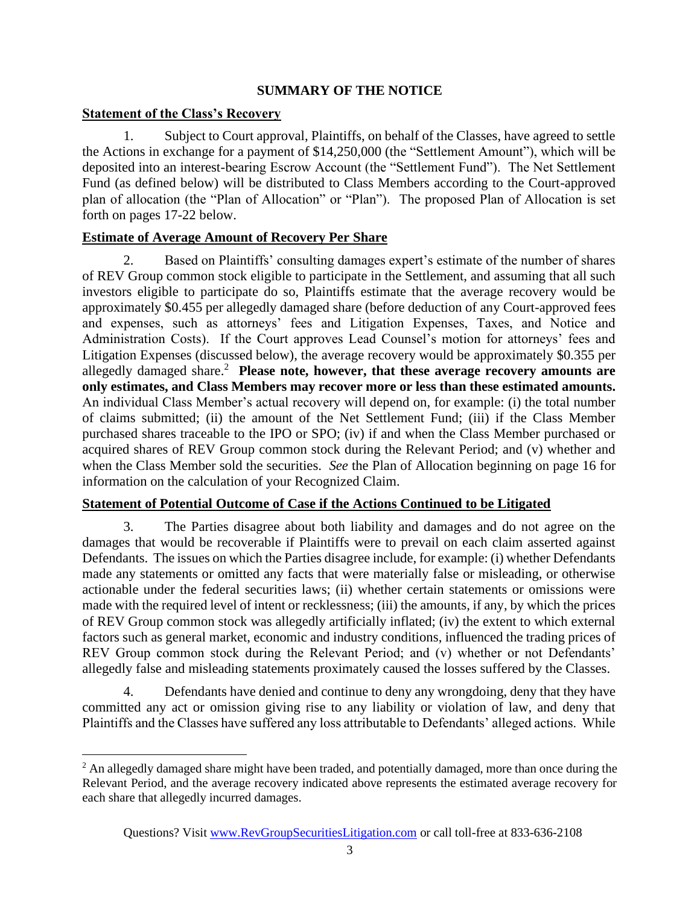### **SUMMARY OF THE NOTICE**

### **Statement of the Class's Recovery**

1. Subject to Court approval, Plaintiffs, on behalf of the Classes, have agreed to settle the Actions in exchange for a payment of \$14,250,000 (the "Settlement Amount"), which will be deposited into an interest-bearing Escrow Account (the "Settlement Fund"). The Net Settlement Fund (as defined below) will be distributed to Class Members according to the Court-approved plan of allocation (the "Plan of Allocation" or "Plan"). The proposed Plan of Allocation is set forth on pages 17-22 below.

### **Estimate of Average Amount of Recovery Per Share**

2. Based on Plaintiffs' consulting damages expert's estimate of the number of shares of REV Group common stock eligible to participate in the Settlement, and assuming that all such investors eligible to participate do so, Plaintiffs estimate that the average recovery would be approximately \$0.455 per allegedly damaged share (before deduction of any Court-approved fees and expenses, such as attorneys' fees and Litigation Expenses, Taxes, and Notice and Administration Costs). If the Court approves Lead Counsel's motion for attorneys' fees and Litigation Expenses (discussed below), the average recovery would be approximately \$0.355 per allegedly damaged share.<sup>2</sup> **Please note, however, that these average recovery amounts are only estimates, and Class Members may recover more or less than these estimated amounts.** An individual Class Member's actual recovery will depend on, for example: (i) the total number of claims submitted; (ii) the amount of the Net Settlement Fund; (iii) if the Class Member purchased shares traceable to the IPO or SPO; (iv) if and when the Class Member purchased or acquired shares of REV Group common stock during the Relevant Period; and (v) whether and when the Class Member sold the securities. *See* the Plan of Allocation beginning on page 16 for information on the calculation of your Recognized Claim.

# **Statement of Potential Outcome of Case if the Actions Continued to be Litigated**

3. The Parties disagree about both liability and damages and do not agree on the damages that would be recoverable if Plaintiffs were to prevail on each claim asserted against Defendants. The issues on which the Parties disagree include, for example: (i) whether Defendants made any statements or omitted any facts that were materially false or misleading, or otherwise actionable under the federal securities laws; (ii) whether certain statements or omissions were made with the required level of intent or recklessness; (iii) the amounts, if any, by which the prices of REV Group common stock was allegedly artificially inflated; (iv) the extent to which external factors such as general market, economic and industry conditions, influenced the trading prices of REV Group common stock during the Relevant Period; and (v) whether or not Defendants' allegedly false and misleading statements proximately caused the losses suffered by the Classes.

4. Defendants have denied and continue to deny any wrongdoing, deny that they have committed any act or omission giving rise to any liability or violation of law, and deny that Plaintiffs and the Classes have suffered any loss attributable to Defendants' alleged actions. While

<sup>&</sup>lt;sup>2</sup> An allegedly damaged share might have been traded, and potentially damaged, more than once during the Relevant Period, and the average recovery indicated above represents the estimated average recovery for each share that allegedly incurred damages.

Questions? Visit [www.RevGroupSecuritiesLitigation.com](http://www.revgroupsecuritieslitigation.com/) or call toll-free at 833-636-2108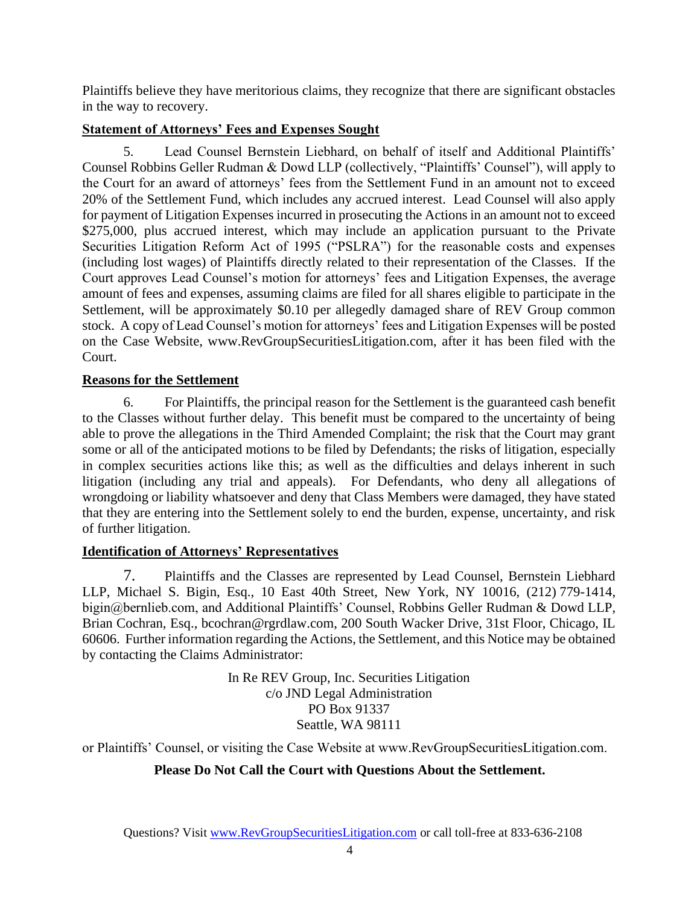Plaintiffs believe they have meritorious claims, they recognize that there are significant obstacles in the way to recovery.

# **Statement of Attorneys' Fees and Expenses Sought**

5. Lead Counsel Bernstein Liebhard, on behalf of itself and Additional Plaintiffs' Counsel Robbins Geller Rudman & Dowd LLP (collectively, "Plaintiffs' Counsel"), will apply to the Court for an award of attorneys' fees from the Settlement Fund in an amount not to exceed 20% of the Settlement Fund, which includes any accrued interest. Lead Counsel will also apply for payment of Litigation Expenses incurred in prosecuting the Actions in an amount not to exceed \$275,000, plus accrued interest, which may include an application pursuant to the Private Securities Litigation Reform Act of 1995 ("PSLRA") for the reasonable costs and expenses (including lost wages) of Plaintiffs directly related to their representation of the Classes. If the Court approves Lead Counsel's motion for attorneys' fees and Litigation Expenses, the average amount of fees and expenses, assuming claims are filed for all shares eligible to participate in the Settlement, will be approximately \$0.10 per allegedly damaged share of REV Group common stock. A copy of Lead Counsel's motion for attorneys' fees and Litigation Expenses will be posted on the Case Website, www.RevGroupSecuritiesLitigation.com, after it has been filed with the Court.

# **Reasons for the Settlement**

6. For Plaintiffs, the principal reason for the Settlement is the guaranteed cash benefit to the Classes without further delay. This benefit must be compared to the uncertainty of being able to prove the allegations in the Third Amended Complaint; the risk that the Court may grant some or all of the anticipated motions to be filed by Defendants; the risks of litigation, especially in complex securities actions like this; as well as the difficulties and delays inherent in such litigation (including any trial and appeals). For Defendants, who deny all allegations of wrongdoing or liability whatsoever and deny that Class Members were damaged, they have stated that they are entering into the Settlement solely to end the burden, expense, uncertainty, and risk of further litigation.

# **Identification of Attorneys' Representatives**

7. Plaintiffs and the Classes are represented by Lead Counsel, Bernstein Liebhard LLP, Michael S. Bigin, Esq., 10 East 40th Street, New York, NY 10016, (212) 779-1414, bigin@bernlieb.com, and Additional Plaintiffs' Counsel, Robbins Geller Rudman & Dowd LLP, Brian Cochran, Esq., bcochran@rgrdlaw.com, 200 South Wacker Drive, 31st Floor, Chicago, IL 60606. Further information regarding the Actions, the Settlement, and this Notice may be obtained by contacting the Claims Administrator:

> In Re REV Group, Inc. Securities Litigation c/o JND Legal Administration PO Box 91337 Seattle, WA 98111

or Plaintiffs' Counsel, or visiting the Case Website at www.RevGroupSecuritiesLitigation.com.

# **Please Do Not Call the Court with Questions About the Settlement.**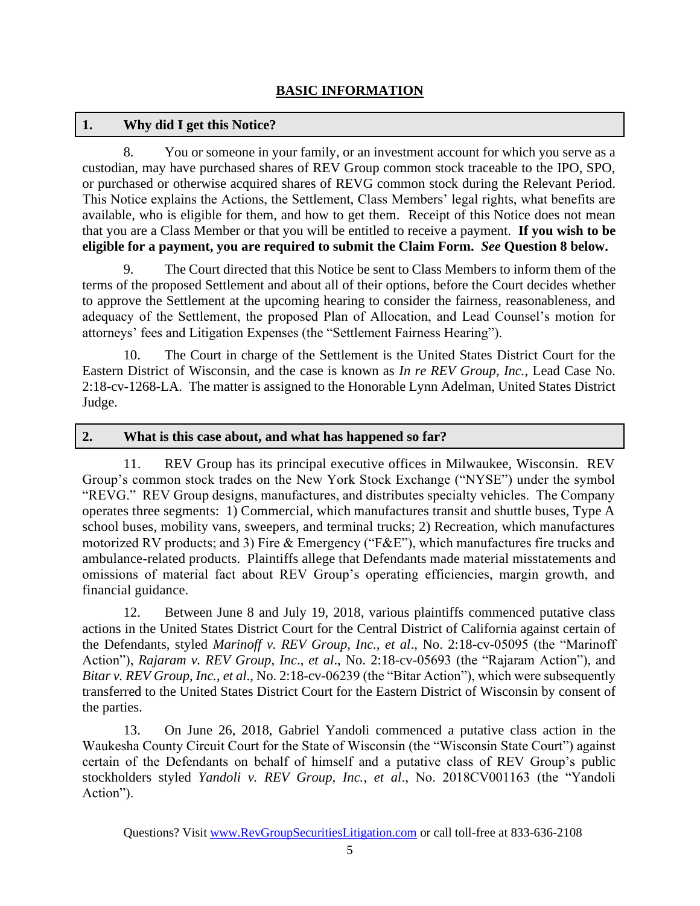### **1. Why did I get this Notice?**

8. You or someone in your family, or an investment account for which you serve as a custodian, may have purchased shares of REV Group common stock traceable to the IPO, SPO, or purchased or otherwise acquired shares of REVG common stock during the Relevant Period. This Notice explains the Actions, the Settlement, Class Members' legal rights, what benefits are available, who is eligible for them, and how to get them. Receipt of this Notice does not mean that you are a Class Member or that you will be entitled to receive a payment. **If you wish to be eligible for a payment, you are required to submit the Claim Form.** *See* **Question 8 below.**

9. The Court directed that this Notice be sent to Class Members to inform them of the terms of the proposed Settlement and about all of their options, before the Court decides whether to approve the Settlement at the upcoming hearing to consider the fairness, reasonableness, and adequacy of the Settlement, the proposed Plan of Allocation, and Lead Counsel's motion for attorneys' fees and Litigation Expenses (the "Settlement Fairness Hearing").

10. The Court in charge of the Settlement is the United States District Court for the Eastern District of Wisconsin, and the case is known as *In re REV Group, Inc.*, Lead Case No. 2:18-cv-1268-LA. The matter is assigned to the Honorable Lynn Adelman, United States District Judge.

### **2. What is this case about, and what has happened so far?**

11. REV Group has its principal executive offices in Milwaukee, Wisconsin. REV Group's common stock trades on the New York Stock Exchange ("NYSE") under the symbol "REVG." REV Group designs, manufactures, and distributes specialty vehicles. The Company operates three segments: 1) Commercial, which manufactures transit and shuttle buses, Type A school buses, mobility vans, sweepers, and terminal trucks; 2) Recreation, which manufactures motorized RV products; and 3) Fire & Emergency ("F&E"), which manufactures fire trucks and ambulance-related products. Plaintiffs allege that Defendants made material misstatements and omissions of material fact about REV Group's operating efficiencies, margin growth, and financial guidance.

12. Between June 8 and July 19, 2018, various plaintiffs commenced putative class actions in the United States District Court for the Central District of California against certain of the Defendants, styled *Marinoff v. REV Group, Inc., et al*., No. 2:18-cv-05095 (the "Marinoff Action"), *Rajaram v. REV Group, Inc*., *et al*., No. 2:18-cv-05693 (the "Rajaram Action"), and *Bitar v. REV Group, Inc.*, *et al*., No. 2:18-cv-06239 (the "Bitar Action"), which were subsequently transferred to the United States District Court for the Eastern District of Wisconsin by consent of the parties.

13. On June 26, 2018, Gabriel Yandoli commenced a putative class action in the Waukesha County Circuit Court for the State of Wisconsin (the "Wisconsin State Court") against certain of the Defendants on behalf of himself and a putative class of REV Group's public stockholders styled *Yandoli v. REV Group, Inc.*, *et al*., No. 2018CV001163 (the "Yandoli Action").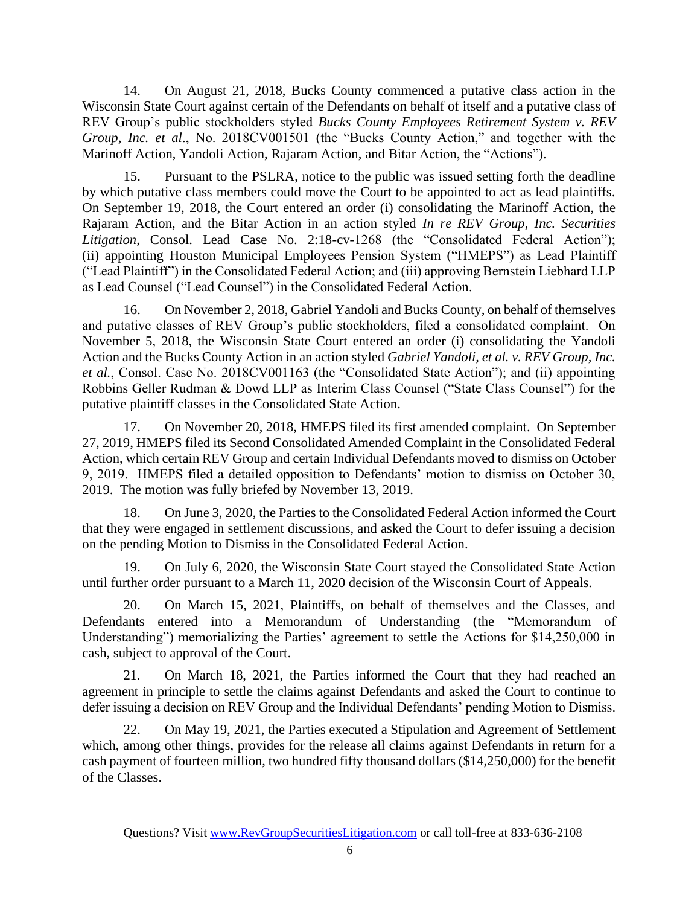14. On August 21, 2018, Bucks County commenced a putative class action in the Wisconsin State Court against certain of the Defendants on behalf of itself and a putative class of REV Group's public stockholders styled *Bucks County Employees Retirement System v. REV Group, Inc. et al*., No. 2018CV001501 (the "Bucks County Action," and together with the Marinoff Action, Yandoli Action, Rajaram Action, and Bitar Action, the "Actions").

15. Pursuant to the PSLRA, notice to the public was issued setting forth the deadline by which putative class members could move the Court to be appointed to act as lead plaintiffs. On September 19, 2018, the Court entered an order (i) consolidating the Marinoff Action, the Rajaram Action, and the Bitar Action in an action styled *In re REV Group, Inc. Securities Litigation*, Consol. Lead Case No. 2:18-cv-1268 (the "Consolidated Federal Action"); (ii) appointing Houston Municipal Employees Pension System ("HMEPS") as Lead Plaintiff ("Lead Plaintiff") in the Consolidated Federal Action; and (iii) approving Bernstein Liebhard LLP as Lead Counsel ("Lead Counsel") in the Consolidated Federal Action.

16. On November 2, 2018, Gabriel Yandoli and Bucks County, on behalf of themselves and putative classes of REV Group's public stockholders, filed a consolidated complaint. On November 5, 2018, the Wisconsin State Court entered an order (i) consolidating the Yandoli Action and the Bucks County Action in an action styled *Gabriel Yandoli, et al. v. REV Group, Inc. et al.*, Consol. Case No. 2018CV001163 (the "Consolidated State Action"); and (ii) appointing Robbins Geller Rudman & Dowd LLP as Interim Class Counsel ("State Class Counsel") for the putative plaintiff classes in the Consolidated State Action.

17. On November 20, 2018, HMEPS filed its first amended complaint. On September 27, 2019, HMEPS filed its Second Consolidated Amended Complaint in the Consolidated Federal Action, which certain REV Group and certain Individual Defendants moved to dismiss on October 9, 2019. HMEPS filed a detailed opposition to Defendants' motion to dismiss on October 30, 2019. The motion was fully briefed by November 13, 2019.

18. On June 3, 2020, the Parties to the Consolidated Federal Action informed the Court that they were engaged in settlement discussions, and asked the Court to defer issuing a decision on the pending Motion to Dismiss in the Consolidated Federal Action.

19. On July 6, 2020, the Wisconsin State Court stayed the Consolidated State Action until further order pursuant to a March 11, 2020 decision of the Wisconsin Court of Appeals.

20. On March 15, 2021, Plaintiffs, on behalf of themselves and the Classes, and Defendants entered into a Memorandum of Understanding (the "Memorandum of Understanding") memorializing the Parties' agreement to settle the Actions for \$14,250,000 in cash, subject to approval of the Court.

21. On March 18, 2021, the Parties informed the Court that they had reached an agreement in principle to settle the claims against Defendants and asked the Court to continue to defer issuing a decision on REV Group and the Individual Defendants' pending Motion to Dismiss.

22. On May 19, 2021, the Parties executed a Stipulation and Agreement of Settlement which, among other things, provides for the release all claims against Defendants in return for a cash payment of fourteen million, two hundred fifty thousand dollars (\$14,250,000) for the benefit of the Classes.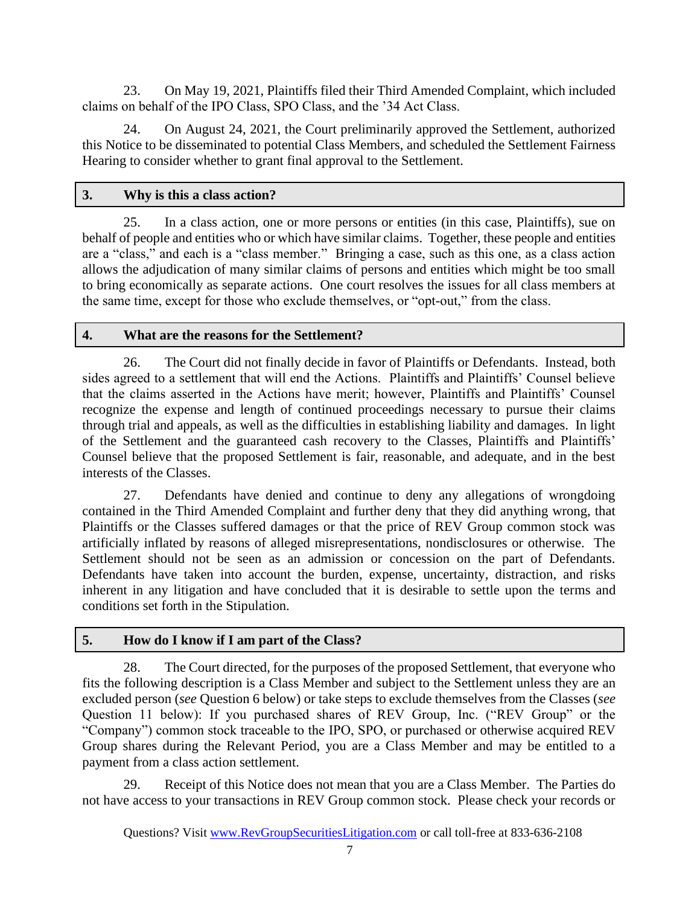23. On May 19, 2021, Plaintiffs filed their Third Amended Complaint, which included claims on behalf of the IPO Class, SPO Class, and the '34 Act Class.

24. On August 24, 2021, the Court preliminarily approved the Settlement, authorized this Notice to be disseminated to potential Class Members, and scheduled the Settlement Fairness Hearing to consider whether to grant final approval to the Settlement.

## **3. Why is this a class action?**

25. In a class action, one or more persons or entities (in this case, Plaintiffs), sue on behalf of people and entities who or which have similar claims. Together, these people and entities are a "class," and each is a "class member." Bringing a case, such as this one, as a class action allows the adjudication of many similar claims of persons and entities which might be too small to bring economically as separate actions. One court resolves the issues for all class members at the same time, except for those who exclude themselves, or "opt-out," from the class.

### **4. What are the reasons for the Settlement?**

26. The Court did not finally decide in favor of Plaintiffs or Defendants. Instead, both sides agreed to a settlement that will end the Actions. Plaintiffs and Plaintiffs' Counsel believe that the claims asserted in the Actions have merit; however, Plaintiffs and Plaintiffs' Counsel recognize the expense and length of continued proceedings necessary to pursue their claims through trial and appeals, as well as the difficulties in establishing liability and damages. In light of the Settlement and the guaranteed cash recovery to the Classes, Plaintiffs and Plaintiffs' Counsel believe that the proposed Settlement is fair, reasonable, and adequate, and in the best interests of the Classes.

27. Defendants have denied and continue to deny any allegations of wrongdoing contained in the Third Amended Complaint and further deny that they did anything wrong, that Plaintiffs or the Classes suffered damages or that the price of REV Group common stock was artificially inflated by reasons of alleged misrepresentations, nondisclosures or otherwise. The Settlement should not be seen as an admission or concession on the part of Defendants. Defendants have taken into account the burden, expense, uncertainty, distraction, and risks inherent in any litigation and have concluded that it is desirable to settle upon the terms and conditions set forth in the Stipulation.

# **5. How do I know if I am part of the Class?**

28. The Court directed, for the purposes of the proposed Settlement, that everyone who fits the following description is a Class Member and subject to the Settlement unless they are an excluded person (*see* Question 6 below) or take steps to exclude themselves from the Classes (*see* Question 11 below): If you purchased shares of REV Group, Inc. ("REV Group" or the "Company") common stock traceable to the IPO, SPO, or purchased or otherwise acquired REV Group shares during the Relevant Period, you are a Class Member and may be entitled to a payment from a class action settlement.

29. Receipt of this Notice does not mean that you are a Class Member. The Parties do not have access to your transactions in REV Group common stock. Please check your records or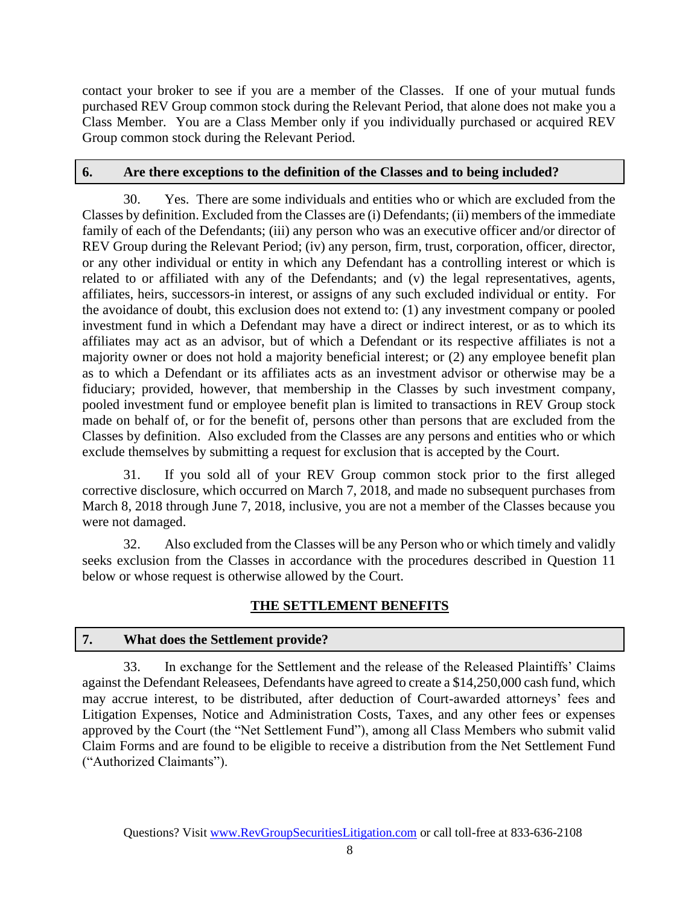contact your broker to see if you are a member of the Classes. If one of your mutual funds purchased REV Group common stock during the Relevant Period, that alone does not make you a Class Member. You are a Class Member only if you individually purchased or acquired REV Group common stock during the Relevant Period.

### **6. Are there exceptions to the definition of the Classes and to being included?**

30. Yes. There are some individuals and entities who or which are excluded from the Classes by definition. Excluded from the Classes are (i) Defendants; (ii) members of the immediate family of each of the Defendants; (iii) any person who was an executive officer and/or director of REV Group during the Relevant Period; (iv) any person, firm, trust, corporation, officer, director, or any other individual or entity in which any Defendant has a controlling interest or which is related to or affiliated with any of the Defendants; and (v) the legal representatives, agents, affiliates, heirs, successors-in interest, or assigns of any such excluded individual or entity. For the avoidance of doubt, this exclusion does not extend to: (1) any investment company or pooled investment fund in which a Defendant may have a direct or indirect interest, or as to which its affiliates may act as an advisor, but of which a Defendant or its respective affiliates is not a majority owner or does not hold a majority beneficial interest; or (2) any employee benefit plan as to which a Defendant or its affiliates acts as an investment advisor or otherwise may be a fiduciary; provided, however, that membership in the Classes by such investment company, pooled investment fund or employee benefit plan is limited to transactions in REV Group stock made on behalf of, or for the benefit of, persons other than persons that are excluded from the Classes by definition. Also excluded from the Classes are any persons and entities who or which exclude themselves by submitting a request for exclusion that is accepted by the Court.

31. If you sold all of your REV Group common stock prior to the first alleged corrective disclosure, which occurred on March 7, 2018, and made no subsequent purchases from March 8, 2018 through June 7, 2018, inclusive, you are not a member of the Classes because you were not damaged.

32. Also excluded from the Classes will be any Person who or which timely and validly seeks exclusion from the Classes in accordance with the procedures described in Question 11 below or whose request is otherwise allowed by the Court.

# **THE SETTLEMENT BENEFITS**

# **7. What does the Settlement provide?**

33. In exchange for the Settlement and the release of the Released Plaintiffs' Claims against the Defendant Releasees, Defendants have agreed to create a \$14,250,000 cash fund, which may accrue interest, to be distributed, after deduction of Court-awarded attorneys' fees and Litigation Expenses, Notice and Administration Costs, Taxes, and any other fees or expenses approved by the Court (the "Net Settlement Fund"), among all Class Members who submit valid Claim Forms and are found to be eligible to receive a distribution from the Net Settlement Fund ("Authorized Claimants").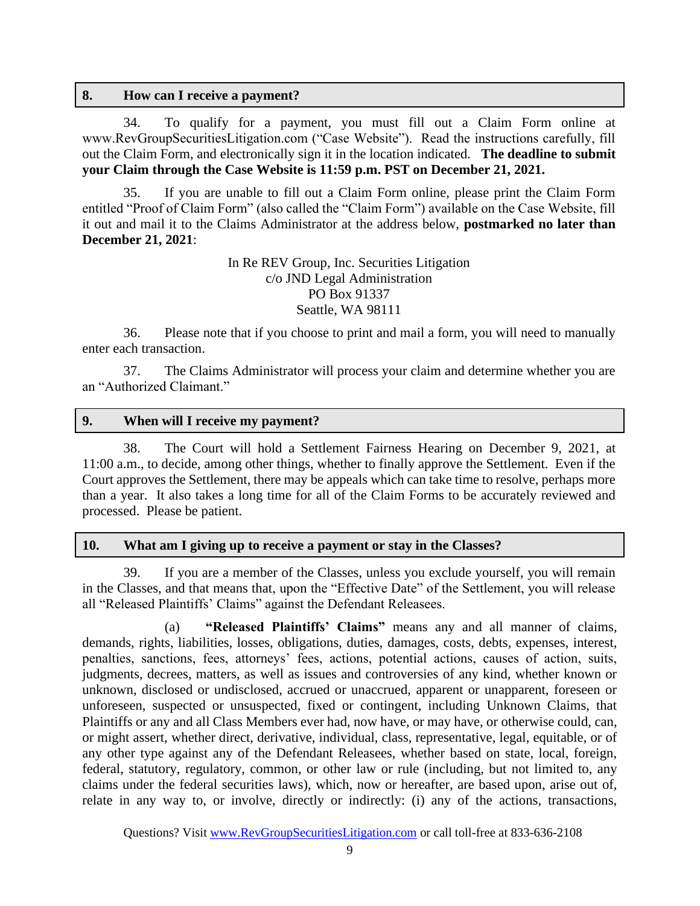#### **8. How can I receive a payment?**

34. To qualify for a payment, you must fill out a Claim Form online at www.RevGroupSecuritiesLitigation.com ("Case Website"). Read the instructions carefully, fill out the Claim Form, and electronically sign it in the location indicated. **The deadline to submit your Claim through the Case Website is 11:59 p.m. PST on December 21, 2021.**

35. If you are unable to fill out a Claim Form online, please print the Claim Form entitled "Proof of Claim Form" (also called the "Claim Form") available on the Case Website, fill it out and mail it to the Claims Administrator at the address below, **postmarked no later than December 21, 2021**:

> In Re REV Group, Inc. Securities Litigation c/o JND Legal Administration PO Box 91337 Seattle, WA 98111

36. Please note that if you choose to print and mail a form, you will need to manually enter each transaction.

37. The Claims Administrator will process your claim and determine whether you are an "Authorized Claimant."

#### **9. When will I receive my payment?**

38. The Court will hold a Settlement Fairness Hearing on December 9, 2021, at 11:00 a.m., to decide, among other things, whether to finally approve the Settlement. Even if the Court approves the Settlement, there may be appeals which can take time to resolve, perhaps more than a year. It also takes a long time for all of the Claim Forms to be accurately reviewed and processed. Please be patient.

#### **10. What am I giving up to receive a payment or stay in the Classes?**

39. If you are a member of the Classes, unless you exclude yourself, you will remain in the Classes, and that means that, upon the "Effective Date" of the Settlement, you will release all "Released Plaintiffs' Claims" against the Defendant Releasees.

(a) **"Released Plaintiffs' Claims"** means any and all manner of claims, demands, rights, liabilities, losses, obligations, duties, damages, costs, debts, expenses, interest, penalties, sanctions, fees, attorneys' fees, actions, potential actions, causes of action, suits, judgments, decrees, matters, as well as issues and controversies of any kind, whether known or unknown, disclosed or undisclosed, accrued or unaccrued, apparent or unapparent, foreseen or unforeseen, suspected or unsuspected, fixed or contingent, including Unknown Claims, that Plaintiffs or any and all Class Members ever had, now have, or may have, or otherwise could, can, or might assert, whether direct, derivative, individual, class, representative, legal, equitable, or of any other type against any of the Defendant Releasees, whether based on state, local, foreign, federal, statutory, regulatory, common, or other law or rule (including, but not limited to, any claims under the federal securities laws), which, now or hereafter, are based upon, arise out of, relate in any way to, or involve, directly or indirectly: (i) any of the actions, transactions,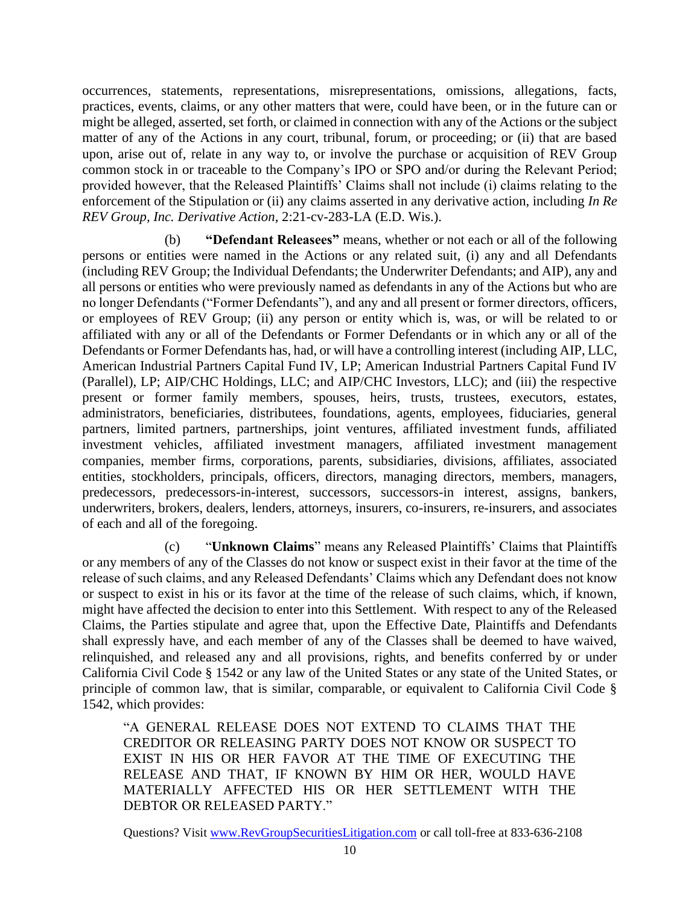occurrences, statements, representations, misrepresentations, omissions, allegations, facts, practices, events, claims, or any other matters that were, could have been, or in the future can or might be alleged, asserted, set forth, or claimed in connection with any of the Actions or the subject matter of any of the Actions in any court, tribunal, forum, or proceeding; or (ii) that are based upon, arise out of, relate in any way to, or involve the purchase or acquisition of REV Group common stock in or traceable to the Company's IPO or SPO and/or during the Relevant Period; provided however, that the Released Plaintiffs' Claims shall not include (i) claims relating to the enforcement of the Stipulation or (ii) any claims asserted in any derivative action, including *In Re REV Group, Inc. Derivative Action*, 2:21-cv-283-LA (E.D. Wis.).

(b) **"Defendant Releasees"** means, whether or not each or all of the following persons or entities were named in the Actions or any related suit, (i) any and all Defendants (including REV Group; the Individual Defendants; the Underwriter Defendants; and AIP), any and all persons or entities who were previously named as defendants in any of the Actions but who are no longer Defendants ("Former Defendants"), and any and all present or former directors, officers, or employees of REV Group; (ii) any person or entity which is, was, or will be related to or affiliated with any or all of the Defendants or Former Defendants or in which any or all of the Defendants or Former Defendants has, had, or will have a controlling interest (including AIP, LLC, American Industrial Partners Capital Fund IV, LP; American Industrial Partners Capital Fund IV (Parallel), LP; AIP/CHC Holdings, LLC; and AIP/CHC Investors, LLC); and (iii) the respective present or former family members, spouses, heirs, trusts, trustees, executors, estates, administrators, beneficiaries, distributees, foundations, agents, employees, fiduciaries, general partners, limited partners, partnerships, joint ventures, affiliated investment funds, affiliated investment vehicles, affiliated investment managers, affiliated investment management companies, member firms, corporations, parents, subsidiaries, divisions, affiliates, associated entities, stockholders, principals, officers, directors, managing directors, members, managers, predecessors, predecessors-in-interest, successors, successors-in interest, assigns, bankers, underwriters, brokers, dealers, lenders, attorneys, insurers, co-insurers, re-insurers, and associates of each and all of the foregoing.

(c) "**Unknown Claims**" means any Released Plaintiffs' Claims that Plaintiffs or any members of any of the Classes do not know or suspect exist in their favor at the time of the release of such claims, and any Released Defendants' Claims which any Defendant does not know or suspect to exist in his or its favor at the time of the release of such claims, which, if known, might have affected the decision to enter into this Settlement. With respect to any of the Released Claims, the Parties stipulate and agree that, upon the Effective Date, Plaintiffs and Defendants shall expressly have, and each member of any of the Classes shall be deemed to have waived, relinquished, and released any and all provisions, rights, and benefits conferred by or under California Civil Code § 1542 or any law of the United States or any state of the United States, or principle of common law, that is similar, comparable, or equivalent to California Civil Code § 1542, which provides:

"A GENERAL RELEASE DOES NOT EXTEND TO CLAIMS THAT THE CREDITOR OR RELEASING PARTY DOES NOT KNOW OR SUSPECT TO EXIST IN HIS OR HER FAVOR AT THE TIME OF EXECUTING THE RELEASE AND THAT, IF KNOWN BY HIM OR HER, WOULD HAVE MATERIALLY AFFECTED HIS OR HER SETTLEMENT WITH THE DEBTOR OR RELEASED PARTY."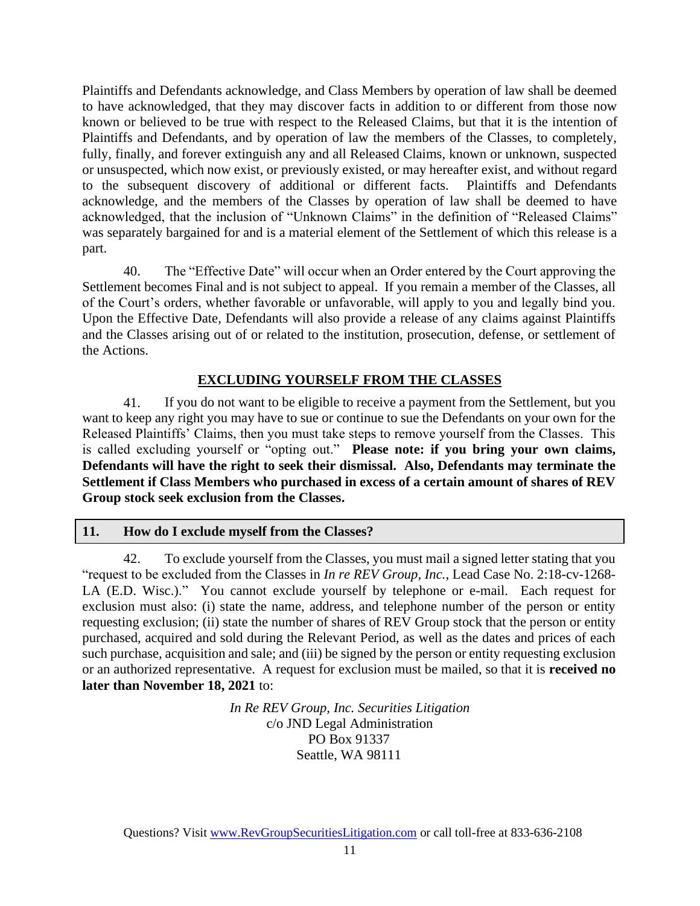Plaintiffs and Defendants acknowledge, and Class Members by operation of law shall be deemed to have acknowledged, that they may discover facts in addition to or different from those now known or believed to be true with respect to the Released Claims, but that it is the intention of Plaintiffs and Defendants, and by operation of law the members of the Classes, to completely, fully, finally, and forever extinguish any and all Released Claims, known or unknown, suspected or unsuspected, which now exist, or previously existed, or may hereafter exist, and without regard to the subsequent discovery of additional or different facts. Plaintiffs and Defendants acknowledge, and the members of the Classes by operation of law shall be deemed to have acknowledged, that the inclusion of "Unknown Claims" in the definition of "Released Claims" was separately bargained for and is a material element of the Settlement of which this release is a part.

40. The "Effective Date" will occur when an Order entered by the Court approving the Settlement becomes Final and is not subject to appeal. If you remain a member of the Classes, all of the Court's orders, whether favorable or unfavorable, will apply to you and legally bind you. Upon the Effective Date, Defendants will also provide a release of any claims against Plaintiffs and the Classes arising out of or related to the institution, prosecution, defense, or settlement of the Actions.

# **EXCLUDING YOURSELF FROM THE CLASSES**

41. If you do not want to be eligible to receive a payment from the Settlement, but you want to keep any right you may have to sue or continue to sue the Defendants on your own for the Released Plaintiffs' Claims, then you must take steps to remove yourself from the Classes. This is called excluding yourself or "opting out." **Please note: if you bring your own claims, Defendants will have the right to seek their dismissal. Also, Defendants may terminate the Settlement if Class Members who purchased in excess of a certain amount of shares of REV Group stock seek exclusion from the Classes.**

# **11. How do I exclude myself from the Classes?**

42. To exclude yourself from the Classes, you must mail a signed letter stating that you "request to be excluded from the Classes in *In re REV Group, Inc.*, Lead Case No. 2:18-cv-1268- LA (E.D. Wisc.)." You cannot exclude yourself by telephone or e-mail. Each request for exclusion must also: (i) state the name, address, and telephone number of the person or entity requesting exclusion; (ii) state the number of shares of REV Group stock that the person or entity purchased, acquired and sold during the Relevant Period, as well as the dates and prices of each such purchase, acquisition and sale; and (iii) be signed by the person or entity requesting exclusion or an authorized representative. A request for exclusion must be mailed, so that it is **received no later than November 18, 2021** to:

> *In Re REV Group, Inc. Securities Litigation* c/o JND Legal Administration PO Box 91337 Seattle, WA 98111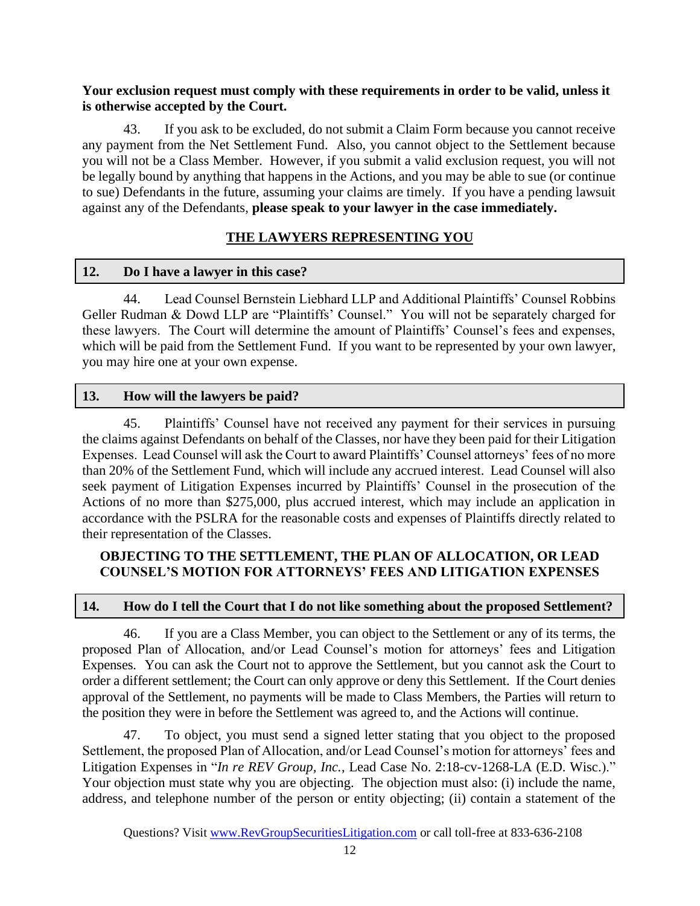### **Your exclusion request must comply with these requirements in order to be valid, unless it is otherwise accepted by the Court.**

43. If you ask to be excluded, do not submit a Claim Form because you cannot receive any payment from the Net Settlement Fund. Also, you cannot object to the Settlement because you will not be a Class Member. However, if you submit a valid exclusion request, you will not be legally bound by anything that happens in the Actions, and you may be able to sue (or continue to sue) Defendants in the future, assuming your claims are timely. If you have a pending lawsuit against any of the Defendants, **please speak to your lawyer in the case immediately.**

# **THE LAWYERS REPRESENTING YOU**

### **12. Do I have a lawyer in this case?**

44. Lead Counsel Bernstein Liebhard LLP and Additional Plaintiffs' Counsel Robbins Geller Rudman & Dowd LLP are "Plaintiffs' Counsel." You will not be separately charged for these lawyers. The Court will determine the amount of Plaintiffs' Counsel's fees and expenses, which will be paid from the Settlement Fund. If you want to be represented by your own lawyer, you may hire one at your own expense.

# **13. How will the lawyers be paid?**

45. Plaintiffs' Counsel have not received any payment for their services in pursuing the claims against Defendants on behalf of the Classes, nor have they been paid for their Litigation Expenses. Lead Counsel will ask the Court to award Plaintiffs' Counsel attorneys' fees of no more than 20% of the Settlement Fund, which will include any accrued interest. Lead Counsel will also seek payment of Litigation Expenses incurred by Plaintiffs' Counsel in the prosecution of the Actions of no more than \$275,000, plus accrued interest, which may include an application in accordance with the PSLRA for the reasonable costs and expenses of Plaintiffs directly related to their representation of the Classes.

# **OBJECTING TO THE SETTLEMENT, THE PLAN OF ALLOCATION, OR LEAD COUNSEL'S MOTION FOR ATTORNEYS' FEES AND LITIGATION EXPENSES**

#### **14. How do I tell the Court that I do not like something about the proposed Settlement?**

46. If you are a Class Member, you can object to the Settlement or any of its terms, the proposed Plan of Allocation, and/or Lead Counsel's motion for attorneys' fees and Litigation Expenses. You can ask the Court not to approve the Settlement, but you cannot ask the Court to order a different settlement; the Court can only approve or deny this Settlement. If the Court denies approval of the Settlement, no payments will be made to Class Members, the Parties will return to the position they were in before the Settlement was agreed to, and the Actions will continue.

47. To object, you must send a signed letter stating that you object to the proposed Settlement, the proposed Plan of Allocation, and/or Lead Counsel's motion for attorneys' fees and Litigation Expenses in "*In re REV Group, Inc.*, Lead Case No. 2:18-cv-1268-LA (E.D. Wisc.)." Your objection must state why you are objecting. The objection must also: (i) include the name, address, and telephone number of the person or entity objecting; (ii) contain a statement of the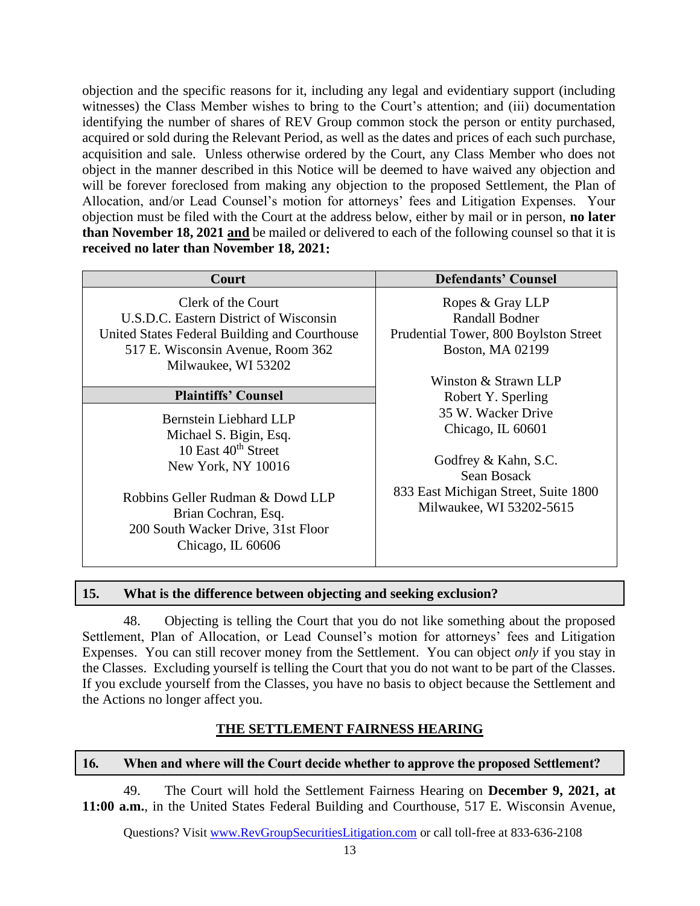objection and the specific reasons for it, including any legal and evidentiary support (including witnesses) the Class Member wishes to bring to the Court's attention; and (iii) documentation identifying the number of shares of REV Group common stock the person or entity purchased, acquired or sold during the Relevant Period, as well as the dates and prices of each such purchase, acquisition and sale. Unless otherwise ordered by the Court, any Class Member who does not object in the manner described in this Notice will be deemed to have waived any objection and will be forever foreclosed from making any objection to the proposed Settlement, the Plan of Allocation, and/or Lead Counsel's motion for attorneys' fees and Litigation Expenses. Your objection must be filed with the Court at the address below, either by mail or in person, **no later than November 18, 2021 and** be mailed or delivered to each of the following counsel so that it is **received no later than November 18, 2021:**

| Court                                                                                                                                                                     | <b>Defendants' Counsel</b>                                                                      |  |
|---------------------------------------------------------------------------------------------------------------------------------------------------------------------------|-------------------------------------------------------------------------------------------------|--|
| Clerk of the Court<br>U.S.D.C. Eastern District of Wisconsin<br>United States Federal Building and Courthouse<br>517 E. Wisconsin Avenue, Room 362<br>Milwaukee, WI 53202 | Ropes & Gray LLP<br>Randall Bodner<br>Prudential Tower, 800 Boylston Street<br>Boston, MA 02199 |  |
|                                                                                                                                                                           | Winston & Strawn LLP                                                                            |  |
| <b>Plaintiffs' Counsel</b>                                                                                                                                                | Robert Y. Sperling                                                                              |  |
| Bernstein Liebhard LLP<br>Michael S. Bigin, Esq.<br>10 East $40^{th}$ Street<br>New York, NY 10016                                                                        | 35 W. Wacker Drive<br>Chicago, IL 60601<br>Godfrey & Kahn, S.C.<br>Sean Bosack                  |  |
| Robbins Geller Rudman & Dowd LLP<br>Brian Cochran, Esq.<br>200 South Wacker Drive, 31st Floor<br>Chicago, IL 60606                                                        | 833 East Michigan Street, Suite 1800<br>Milwaukee, WI 53202-5615                                |  |

#### **15. What is the difference between objecting and seeking exclusion?**

48. Objecting is telling the Court that you do not like something about the proposed Settlement, Plan of Allocation, or Lead Counsel's motion for attorneys' fees and Litigation Expenses. You can still recover money from the Settlement. You can object *only* if you stay in the Classes. Excluding yourself is telling the Court that you do not want to be part of the Classes. If you exclude yourself from the Classes, you have no basis to object because the Settlement and the Actions no longer affect you.

# **THE SETTLEMENT FAIRNESS HEARING**

#### **16. When and where will the Court decide whether to approve the proposed Settlement?**

49. The Court will hold the Settlement Fairness Hearing on **December 9, 2021, at 11:00 a.m.**, in the United States Federal Building and Courthouse, 517 E. Wisconsin Avenue,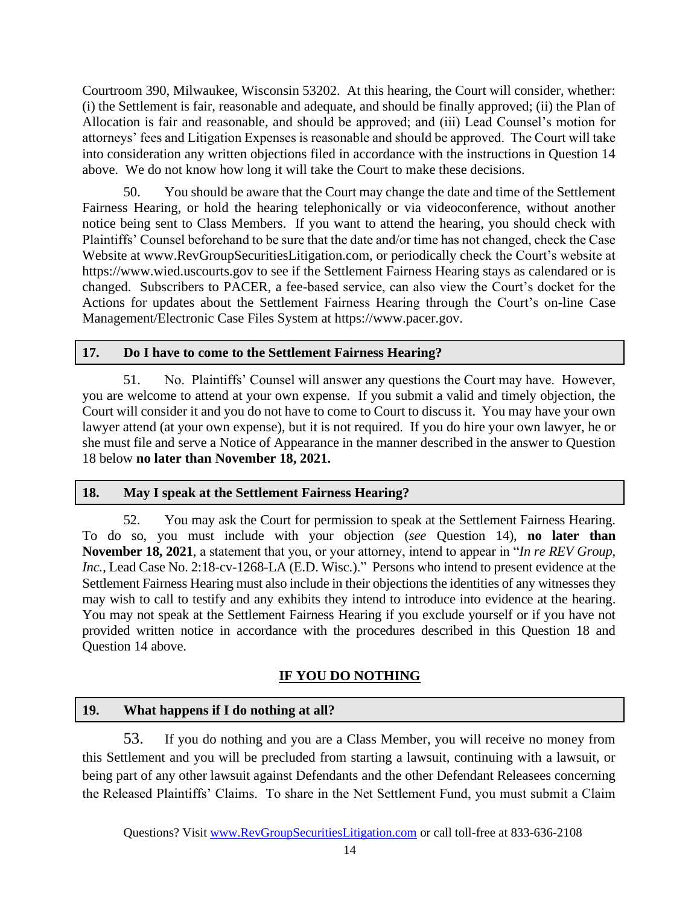Courtroom 390, Milwaukee, Wisconsin 53202. At this hearing, the Court will consider, whether: (i) the Settlement is fair, reasonable and adequate, and should be finally approved; (ii) the Plan of Allocation is fair and reasonable, and should be approved; and (iii) Lead Counsel's motion for attorneys' fees and Litigation Expenses is reasonable and should be approved. The Court will take into consideration any written objections filed in accordance with the instructions in Question 14 above. We do not know how long it will take the Court to make these decisions.

50. You should be aware that the Court may change the date and time of the Settlement Fairness Hearing, or hold the hearing telephonically or via videoconference, without another notice being sent to Class Members. If you want to attend the hearing, you should check with Plaintiffs' Counsel beforehand to be sure that the date and/or time has not changed, check the Case Website at www.RevGroupSecuritiesLitigation.com, or periodically check the Court's website at https://www.wied.uscourts.gov to see if the Settlement Fairness Hearing stays as calendared or is changed. Subscribers to PACER, a fee-based service, can also view the Court's docket for the Actions for updates about the Settlement Fairness Hearing through the Court's on-line Case Management/Electronic Case Files System at https://www.pacer.gov.

# **17. Do I have to come to the Settlement Fairness Hearing?**

51. No. Plaintiffs' Counsel will answer any questions the Court may have. However, you are welcome to attend at your own expense. If you submit a valid and timely objection, the Court will consider it and you do not have to come to Court to discuss it. You may have your own lawyer attend (at your own expense), but it is not required. If you do hire your own lawyer, he or she must file and serve a Notice of Appearance in the manner described in the answer to Question 18 below **no later than November 18, 2021.**

# **18. May I speak at the Settlement Fairness Hearing?**

52. You may ask the Court for permission to speak at the Settlement Fairness Hearing. To do so, you must include with your objection (*see* Question 14), **no later than November 18, 2021**, a statement that you, or your attorney, intend to appear in "*In re REV Group, Inc.*, Lead Case No. 2:18-cv-1268-LA (E.D. Wisc.)." Persons who intend to present evidence at the Settlement Fairness Hearing must also include in their objections the identities of any witnesses they may wish to call to testify and any exhibits they intend to introduce into evidence at the hearing. You may not speak at the Settlement Fairness Hearing if you exclude yourself or if you have not provided written notice in accordance with the procedures described in this Question 18 and Question 14 above.

# **IF YOU DO NOTHING**

# **19. What happens if I do nothing at all?**

53. If you do nothing and you are a Class Member, you will receive no money from this Settlement and you will be precluded from starting a lawsuit, continuing with a lawsuit, or being part of any other lawsuit against Defendants and the other Defendant Releasees concerning the Released Plaintiffs' Claims. To share in the Net Settlement Fund, you must submit a Claim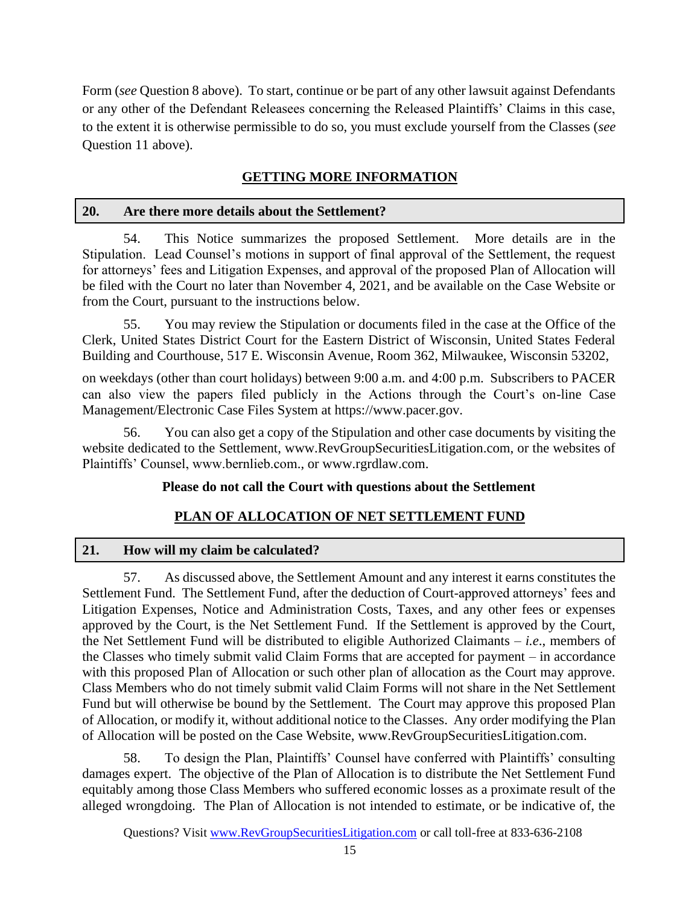Form (*see* Question 8 above). To start, continue or be part of any other lawsuit against Defendants or any other of the Defendant Releasees concerning the Released Plaintiffs' Claims in this case, to the extent it is otherwise permissible to do so, you must exclude yourself from the Classes (*see*  Question 11 above).

# **GETTING MORE INFORMATION**

# **20. Are there more details about the Settlement?**

54. This Notice summarizes the proposed Settlement. More details are in the Stipulation. Lead Counsel's motions in support of final approval of the Settlement, the request for attorneys' fees and Litigation Expenses, and approval of the proposed Plan of Allocation will be filed with the Court no later than November 4, 2021, and be available on the Case Website or from the Court, pursuant to the instructions below.

55. You may review the Stipulation or documents filed in the case at the Office of the Clerk, United States District Court for the Eastern District of Wisconsin, United States Federal Building and Courthouse, 517 E. Wisconsin Avenue, Room 362, Milwaukee, Wisconsin 53202,

on weekdays (other than court holidays) between 9:00 a.m. and 4:00 p.m. Subscribers to PACER can also view the papers filed publicly in the Actions through the Court's on-line Case Management/Electronic Case Files System at https://www.pacer.gov.

56. You can also get a copy of the Stipulation and other case documents by visiting the website dedicated to the Settlement, www.RevGroupSecuritiesLitigation.com, or the websites of Plaintiffs' Counsel, www.bernlieb.com., or www.rgrdlaw.com.

# **Please do not call the Court with questions about the Settlement**

# **PLAN OF ALLOCATION OF NET SETTLEMENT FUND**

# **21. How will my claim be calculated?**

57. As discussed above, the Settlement Amount and any interest it earns constitutes the Settlement Fund. The Settlement Fund, after the deduction of Court-approved attorneys' fees and Litigation Expenses, Notice and Administration Costs, Taxes, and any other fees or expenses approved by the Court, is the Net Settlement Fund. If the Settlement is approved by the Court, the Net Settlement Fund will be distributed to eligible Authorized Claimants – *i.e*., members of the Classes who timely submit valid Claim Forms that are accepted for payment – in accordance with this proposed Plan of Allocation or such other plan of allocation as the Court may approve. Class Members who do not timely submit valid Claim Forms will not share in the Net Settlement Fund but will otherwise be bound by the Settlement. The Court may approve this proposed Plan of Allocation, or modify it, without additional notice to the Classes. Any order modifying the Plan of Allocation will be posted on the Case Website, www.RevGroupSecuritiesLitigation.com.

58. To design the Plan, Plaintiffs' Counsel have conferred with Plaintiffs' consulting damages expert. The objective of the Plan of Allocation is to distribute the Net Settlement Fund equitably among those Class Members who suffered economic losses as a proximate result of the alleged wrongdoing. The Plan of Allocation is not intended to estimate, or be indicative of, the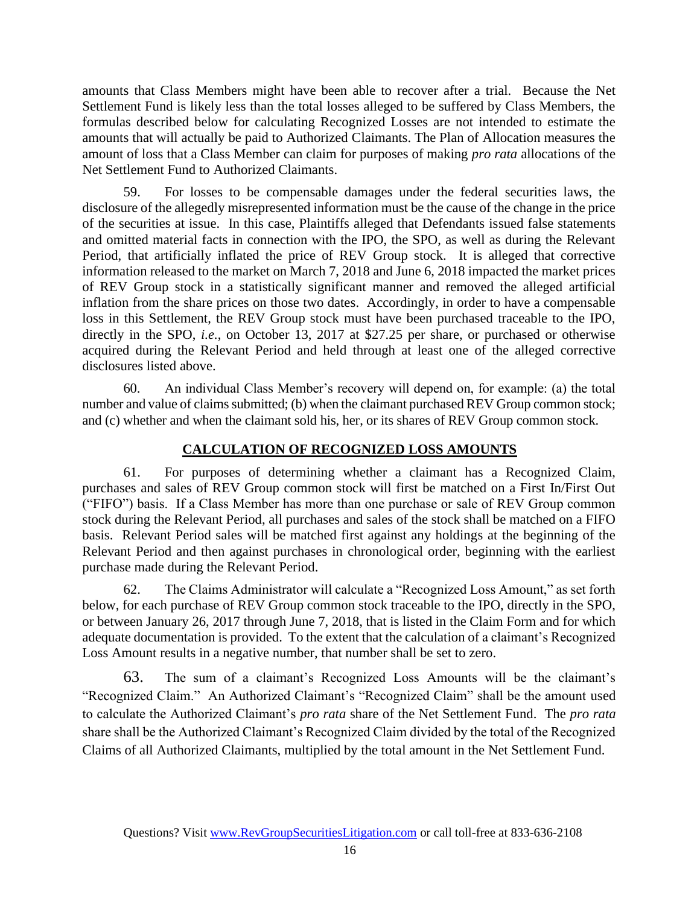amounts that Class Members might have been able to recover after a trial. Because the Net Settlement Fund is likely less than the total losses alleged to be suffered by Class Members, the formulas described below for calculating Recognized Losses are not intended to estimate the amounts that will actually be paid to Authorized Claimants. The Plan of Allocation measures the amount of loss that a Class Member can claim for purposes of making *pro rata* allocations of the Net Settlement Fund to Authorized Claimants.

59. For losses to be compensable damages under the federal securities laws, the disclosure of the allegedly misrepresented information must be the cause of the change in the price of the securities at issue. In this case, Plaintiffs alleged that Defendants issued false statements and omitted material facts in connection with the IPO, the SPO, as well as during the Relevant Period, that artificially inflated the price of REV Group stock. It is alleged that corrective information released to the market on March 7, 2018 and June 6, 2018 impacted the market prices of REV Group stock in a statistically significant manner and removed the alleged artificial inflation from the share prices on those two dates. Accordingly, in order to have a compensable loss in this Settlement, the REV Group stock must have been purchased traceable to the IPO, directly in the SPO, *i.e.*, on October 13, 2017 at \$27.25 per share, or purchased or otherwise acquired during the Relevant Period and held through at least one of the alleged corrective disclosures listed above.

60. An individual Class Member's recovery will depend on, for example: (a) the total number and value of claims submitted; (b) when the claimant purchased REV Group common stock; and (c) whether and when the claimant sold his, her, or its shares of REV Group common stock.

#### **CALCULATION OF RECOGNIZED LOSS AMOUNTS**

61. For purposes of determining whether a claimant has a Recognized Claim, purchases and sales of REV Group common stock will first be matched on a First In/First Out ("FIFO") basis. If a Class Member has more than one purchase or sale of REV Group common stock during the Relevant Period, all purchases and sales of the stock shall be matched on a FIFO basis. Relevant Period sales will be matched first against any holdings at the beginning of the Relevant Period and then against purchases in chronological order, beginning with the earliest purchase made during the Relevant Period.

62. The Claims Administrator will calculate a "Recognized Loss Amount," as set forth below, for each purchase of REV Group common stock traceable to the IPO, directly in the SPO, or between January 26, 2017 through June 7, 2018, that is listed in the Claim Form and for which adequate documentation is provided. To the extent that the calculation of a claimant's Recognized Loss Amount results in a negative number, that number shall be set to zero.

63. The sum of a claimant's Recognized Loss Amounts will be the claimant's "Recognized Claim." An Authorized Claimant's "Recognized Claim" shall be the amount used to calculate the Authorized Claimant's *pro rata* share of the Net Settlement Fund. The *pro rata* share shall be the Authorized Claimant's Recognized Claim divided by the total of the Recognized Claims of all Authorized Claimants, multiplied by the total amount in the Net Settlement Fund.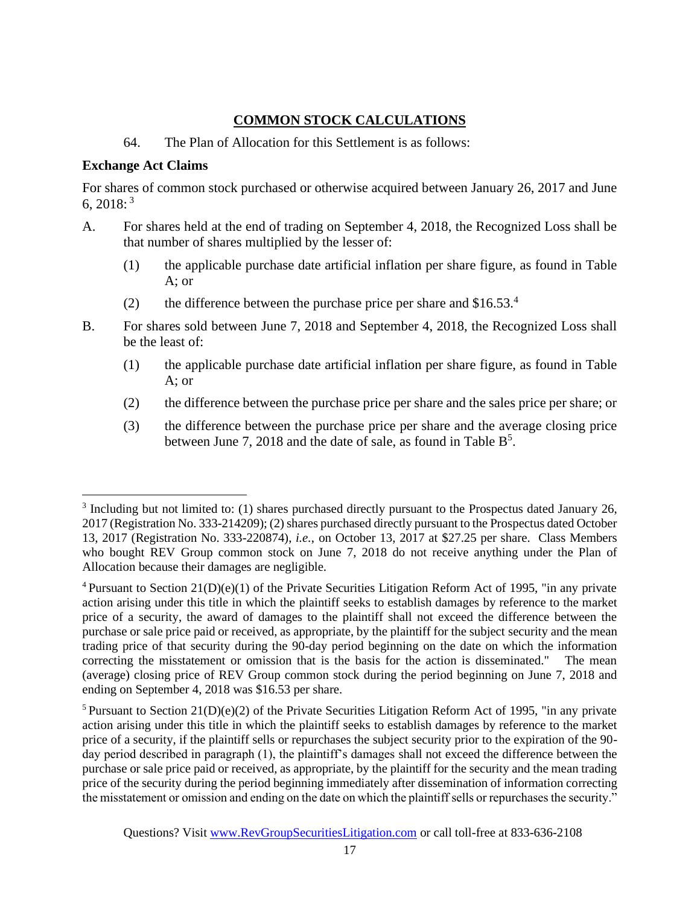# **COMMON STOCK CALCULATIONS**

### 64. The Plan of Allocation for this Settlement is as follows:

### **Exchange Act Claims**

For shares of common stock purchased or otherwise acquired between January 26, 2017 and June 6,  $2018$ : <sup>3</sup>

- A. For shares held at the end of trading on September 4, 2018, the Recognized Loss shall be that number of shares multiplied by the lesser of:
	- (1) the applicable purchase date artificial inflation per share figure, as found in Table A; or
	- (2) the difference between the purchase price per share and  $$16.53<sup>4</sup>$
- B. For shares sold between June 7, 2018 and September 4, 2018, the Recognized Loss shall be the least of:
	- (1) the applicable purchase date artificial inflation per share figure, as found in Table A; or
	- (2) the difference between the purchase price per share and the sales price per share; or
	- (3) the difference between the purchase price per share and the average closing price between June 7, 2018 and the date of sale, as found in Table  $B^5$ .

 $3$  Including but not limited to: (1) shares purchased directly pursuant to the Prospectus dated January 26, 2017 (Registration No. 333-214209); (2) shares purchased directly pursuant to the Prospectus dated October 13, 2017 (Registration No. 333-220874), *i.e.*, on October 13, 2017 at \$27.25 per share. Class Members who bought REV Group common stock on June 7, 2018 do not receive anything under the Plan of Allocation because their damages are negligible.

<sup>&</sup>lt;sup>4</sup> Pursuant to Section  $21(D)(e)(1)$  of the Private Securities Litigation Reform Act of 1995, "in any private action arising under this title in which the plaintiff seeks to establish damages by reference to the market price of a security, the award of damages to the plaintiff shall not exceed the difference between the purchase or sale price paid or received, as appropriate, by the plaintiff for the subject security and the mean trading price of that security during the 90-day period beginning on the date on which the information correcting the misstatement or omission that is the basis for the action is disseminated." The mean (average) closing price of REV Group common stock during the period beginning on June 7, 2018 and ending on September 4, 2018 was \$16.53 per share.

 $5$  Pursuant to Section 21(D)(e)(2) of the Private Securities Litigation Reform Act of 1995, "in any private action arising under this title in which the plaintiff seeks to establish damages by reference to the market price of a security, if the plaintiff sells or repurchases the subject security prior to the expiration of the 90 day period described in paragraph (1), the plaintiff's damages shall not exceed the difference between the purchase or sale price paid or received, as appropriate, by the plaintiff for the security and the mean trading price of the security during the period beginning immediately after dissemination of information correcting the misstatement or omission and ending on the date on which the plaintiff sells or repurchases the security."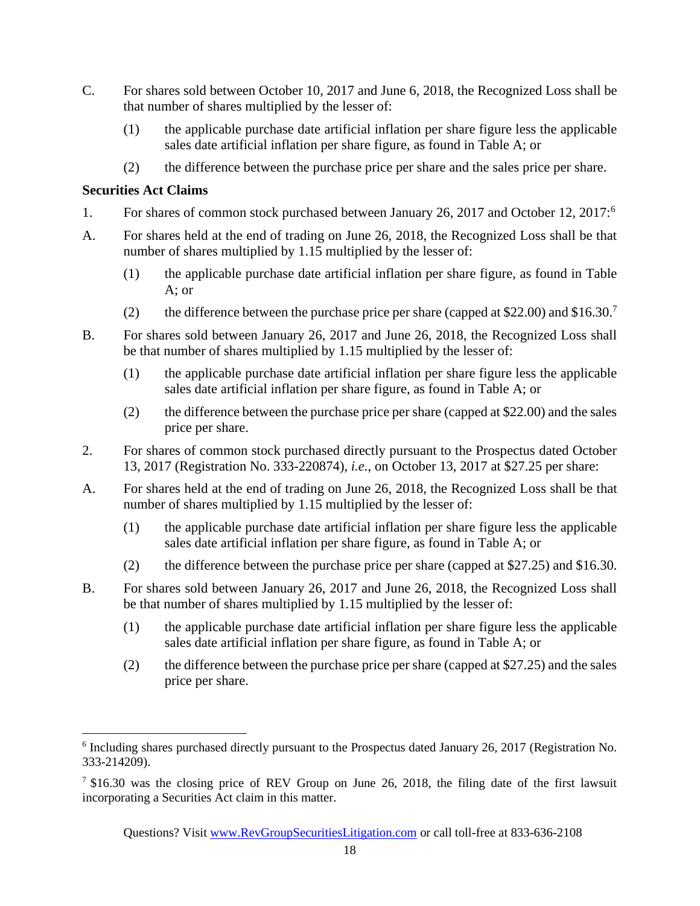- C. For shares sold between October 10, 2017 and June 6, 2018, the Recognized Loss shall be that number of shares multiplied by the lesser of:
	- (1) the applicable purchase date artificial inflation per share figure less the applicable sales date artificial inflation per share figure, as found in Table A; or
	- (2) the difference between the purchase price per share and the sales price per share.

## **Securities Act Claims**

- 1. For shares of common stock purchased between January 26, 2017 and October 12, 2017:<sup>6</sup>
- A. For shares held at the end of trading on June 26, 2018, the Recognized Loss shall be that number of shares multiplied by 1.15 multiplied by the lesser of:
	- (1) the applicable purchase date artificial inflation per share figure, as found in Table A; or
	- (2) the difference between the purchase price per share (capped at \$22.00) and  $$16.30$ .<sup>7</sup>
- B. For shares sold between January 26, 2017 and June 26, 2018, the Recognized Loss shall be that number of shares multiplied by 1.15 multiplied by the lesser of:
	- (1) the applicable purchase date artificial inflation per share figure less the applicable sales date artificial inflation per share figure, as found in Table A; or
	- (2) the difference between the purchase price per share (capped at \$22.00) and the sales price per share.
- 2. For shares of common stock purchased directly pursuant to the Prospectus dated October 13, 2017 (Registration No. 333-220874), *i.e.*, on October 13, 2017 at \$27.25 per share:
- A. For shares held at the end of trading on June 26, 2018, the Recognized Loss shall be that number of shares multiplied by 1.15 multiplied by the lesser of:
	- (1) the applicable purchase date artificial inflation per share figure less the applicable sales date artificial inflation per share figure, as found in Table A; or
	- (2) the difference between the purchase price per share (capped at \$27.25) and \$16.30.
- B. For shares sold between January 26, 2017 and June 26, 2018, the Recognized Loss shall be that number of shares multiplied by 1.15 multiplied by the lesser of:
	- (1) the applicable purchase date artificial inflation per share figure less the applicable sales date artificial inflation per share figure, as found in Table A; or
	- (2) the difference between the purchase price per share (capped at \$27.25) and the sales price per share.

<sup>&</sup>lt;sup>6</sup> Including shares purchased directly pursuant to the Prospectus dated January 26, 2017 (Registration No. 333-214209).

<sup>&</sup>lt;sup>7</sup> \$16.30 was the closing price of REV Group on June 26, 2018, the filing date of the first lawsuit incorporating a Securities Act claim in this matter.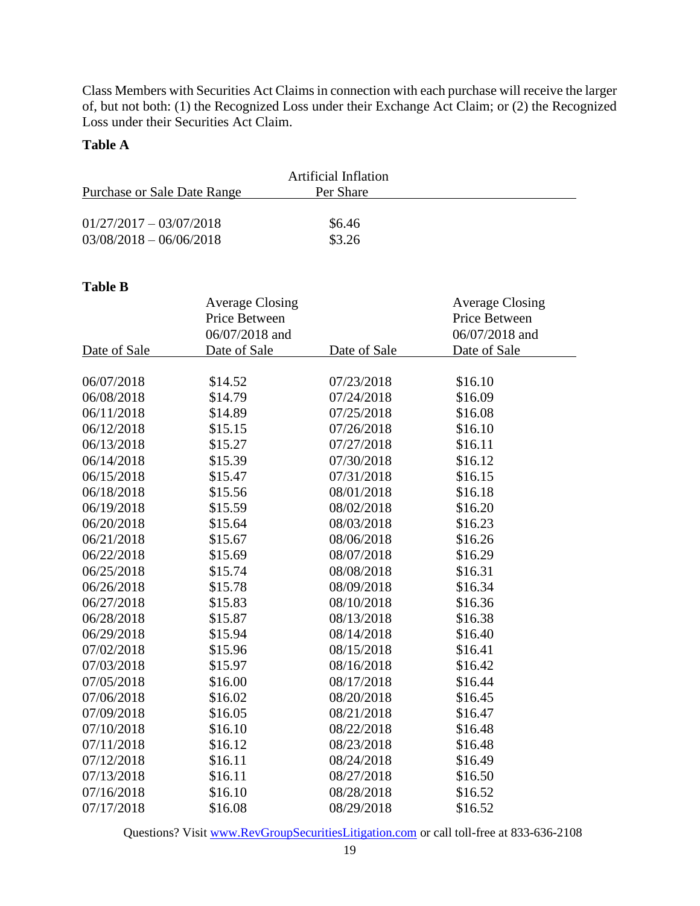Class Members with Securities Act Claims in connection with each purchase will receive the larger of, but not both: (1) the Recognized Loss under their Exchange Act Claim; or (2) the Recognized Loss under their Securities Act Claim.

#### **Table A**

| Artificial Inflation                     |        |  |  |
|------------------------------------------|--------|--|--|
| Purchase or Sale Date Range<br>Per Share |        |  |  |
|                                          |        |  |  |
| $01/27/2017 - 03/07/2018$                | \$6.46 |  |  |
| $03/08/2018 - 06/06/2018$                | \$3.26 |  |  |

#### **Table B**

|              | <b>Average Closing</b> |              | <b>Average Closing</b> |
|--------------|------------------------|--------------|------------------------|
|              | Price Between          |              | Price Between          |
|              | 06/07/2018 and         |              | 06/07/2018 and         |
| Date of Sale | Date of Sale           | Date of Sale | Date of Sale           |
|              |                        |              |                        |
| 06/07/2018   | \$14.52                | 07/23/2018   | \$16.10                |
| 06/08/2018   | \$14.79                | 07/24/2018   | \$16.09                |
| 06/11/2018   | \$14.89                | 07/25/2018   | \$16.08                |
| 06/12/2018   | \$15.15                | 07/26/2018   | \$16.10                |
| 06/13/2018   | \$15.27                | 07/27/2018   | \$16.11                |
| 06/14/2018   | \$15.39                | 07/30/2018   | \$16.12                |
| 06/15/2018   | \$15.47                | 07/31/2018   | \$16.15                |
| 06/18/2018   | \$15.56                | 08/01/2018   | \$16.18                |
| 06/19/2018   | \$15.59                | 08/02/2018   | \$16.20                |
| 06/20/2018   | \$15.64                | 08/03/2018   | \$16.23                |
| 06/21/2018   | \$15.67                | 08/06/2018   | \$16.26                |
| 06/22/2018   | \$15.69                | 08/07/2018   | \$16.29                |
| 06/25/2018   | \$15.74                | 08/08/2018   | \$16.31                |
| 06/26/2018   | \$15.78                | 08/09/2018   | \$16.34                |
| 06/27/2018   | \$15.83                | 08/10/2018   | \$16.36                |
| 06/28/2018   | \$15.87                | 08/13/2018   | \$16.38                |
| 06/29/2018   | \$15.94                | 08/14/2018   | \$16.40                |
| 07/02/2018   | \$15.96                | 08/15/2018   | \$16.41                |
| 07/03/2018   | \$15.97                | 08/16/2018   | \$16.42                |
| 07/05/2018   | \$16.00                | 08/17/2018   | \$16.44                |
| 07/06/2018   | \$16.02                | 08/20/2018   | \$16.45                |
| 07/09/2018   | \$16.05                | 08/21/2018   | \$16.47                |
| 07/10/2018   | \$16.10                | 08/22/2018   | \$16.48                |
| 07/11/2018   | \$16.12                | 08/23/2018   | \$16.48                |
| 07/12/2018   | \$16.11                | 08/24/2018   | \$16.49                |
| 07/13/2018   | \$16.11                | 08/27/2018   | \$16.50                |
| 07/16/2018   | \$16.10                | 08/28/2018   | \$16.52                |
| 07/17/2018   | \$16.08                | 08/29/2018   | \$16.52                |

Questions? Visit [www.RevGroupSecuritiesLitigation.com](http://www.revgroupsecuritieslitigation.com/) or call toll-free at 833-636-2108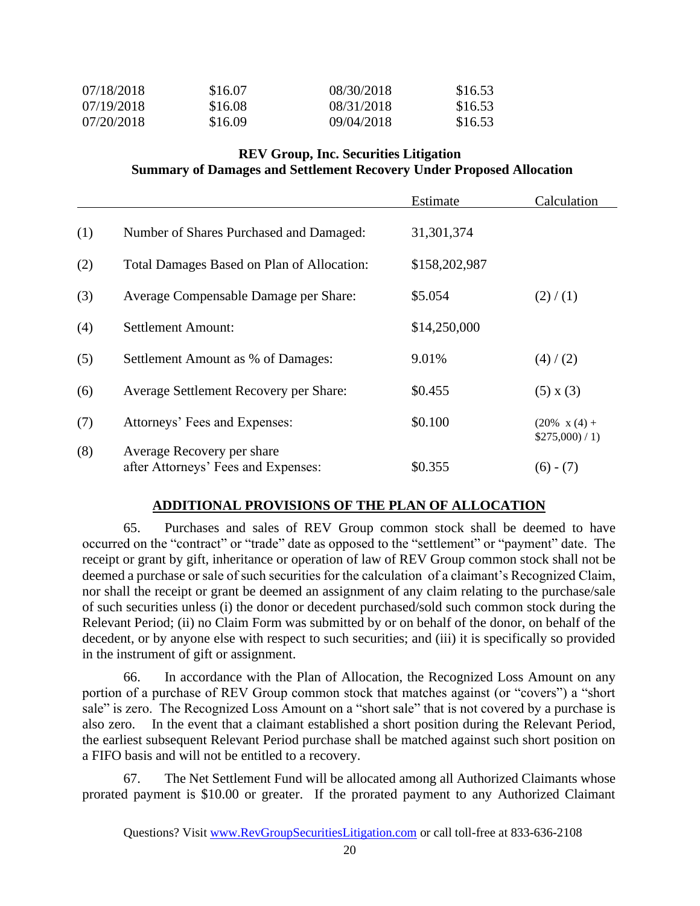| 07/18/2018 | \$16.07 | 08/30/2018 | \$16.53 |
|------------|---------|------------|---------|
| 07/19/2018 | \$16.08 | 08/31/2018 | \$16.53 |
| 07/20/2018 | \$16.09 | 09/04/2018 | \$16.53 |

#### **REV Group, Inc. Securities Litigation Summary of Damages and Settlement Recovery Under Proposed Allocation**

|     |                                            | Estimate      | Calculation          |
|-----|--------------------------------------------|---------------|----------------------|
| (1) | Number of Shares Purchased and Damaged:    | 31, 301, 374  |                      |
| (2) | Total Damages Based on Plan of Allocation: | \$158,202,987 |                      |
| (3) | Average Compensable Damage per Share:      | \$5.054       | (2)/(1)              |
| (4) | <b>Settlement Amount:</b>                  | \$14,250,000  |                      |
| (5) | Settlement Amount as % of Damages:         | 9.01%         | (4) / (2)            |
| (6) | Average Settlement Recovery per Share:     | \$0.455       | $(5) \times (3)$     |
| (7) | Attorneys' Fees and Expenses:              | \$0.100       | $(20\% \times (4) +$ |
| (8) | Average Recovery per share                 |               | \$275,000/1)         |
|     | after Attorneys' Fees and Expenses:        | \$0.355       | $(6) - (7)$          |

#### **ADDITIONAL PROVISIONS OF THE PLAN OF ALLOCATION**

65. Purchases and sales of REV Group common stock shall be deemed to have occurred on the "contract" or "trade" date as opposed to the "settlement" or "payment" date. The receipt or grant by gift, inheritance or operation of law of REV Group common stock shall not be deemed a purchase or sale of such securities for the calculation of a claimant's Recognized Claim, nor shall the receipt or grant be deemed an assignment of any claim relating to the purchase/sale of such securities unless (i) the donor or decedent purchased/sold such common stock during the Relevant Period; (ii) no Claim Form was submitted by or on behalf of the donor, on behalf of the decedent, or by anyone else with respect to such securities; and (iii) it is specifically so provided in the instrument of gift or assignment.

66. In accordance with the Plan of Allocation, the Recognized Loss Amount on any portion of a purchase of REV Group common stock that matches against (or "covers") a "short sale" is zero. The Recognized Loss Amount on a "short sale" that is not covered by a purchase is also zero. In the event that a claimant established a short position during the Relevant Period, the earliest subsequent Relevant Period purchase shall be matched against such short position on a FIFO basis and will not be entitled to a recovery.

67. The Net Settlement Fund will be allocated among all Authorized Claimants whose prorated payment is \$10.00 or greater. If the prorated payment to any Authorized Claimant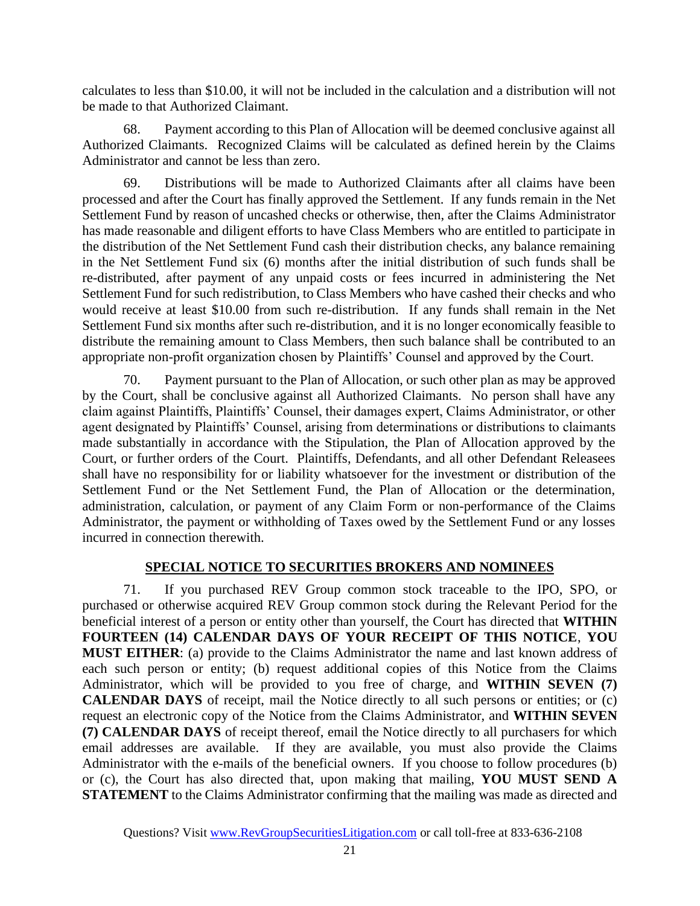calculates to less than \$10.00, it will not be included in the calculation and a distribution will not be made to that Authorized Claimant.

68. Payment according to this Plan of Allocation will be deemed conclusive against all Authorized Claimants. Recognized Claims will be calculated as defined herein by the Claims Administrator and cannot be less than zero.

69. Distributions will be made to Authorized Claimants after all claims have been processed and after the Court has finally approved the Settlement. If any funds remain in the Net Settlement Fund by reason of uncashed checks or otherwise, then, after the Claims Administrator has made reasonable and diligent efforts to have Class Members who are entitled to participate in the distribution of the Net Settlement Fund cash their distribution checks, any balance remaining in the Net Settlement Fund six (6) months after the initial distribution of such funds shall be re-distributed, after payment of any unpaid costs or fees incurred in administering the Net Settlement Fund for such redistribution, to Class Members who have cashed their checks and who would receive at least \$10.00 from such re-distribution. If any funds shall remain in the Net Settlement Fund six months after such re-distribution, and it is no longer economically feasible to distribute the remaining amount to Class Members, then such balance shall be contributed to an appropriate non-profit organization chosen by Plaintiffs' Counsel and approved by the Court.

70. Payment pursuant to the Plan of Allocation, or such other plan as may be approved by the Court, shall be conclusive against all Authorized Claimants. No person shall have any claim against Plaintiffs, Plaintiffs' Counsel, their damages expert, Claims Administrator, or other agent designated by Plaintiffs' Counsel, arising from determinations or distributions to claimants made substantially in accordance with the Stipulation, the Plan of Allocation approved by the Court, or further orders of the Court. Plaintiffs, Defendants, and all other Defendant Releasees shall have no responsibility for or liability whatsoever for the investment or distribution of the Settlement Fund or the Net Settlement Fund, the Plan of Allocation or the determination, administration, calculation, or payment of any Claim Form or non-performance of the Claims Administrator, the payment or withholding of Taxes owed by the Settlement Fund or any losses incurred in connection therewith.

# **SPECIAL NOTICE TO SECURITIES BROKERS AND NOMINEES**

71. If you purchased REV Group common stock traceable to the IPO, SPO, or purchased or otherwise acquired REV Group common stock during the Relevant Period for the beneficial interest of a person or entity other than yourself, the Court has directed that **WITHIN FOURTEEN (14) CALENDAR DAYS OF YOUR RECEIPT OF THIS NOTICE**, **YOU MUST EITHER**: (a) provide to the Claims Administrator the name and last known address of each such person or entity; (b) request additional copies of this Notice from the Claims Administrator, which will be provided to you free of charge, and **WITHIN SEVEN (7) CALENDAR DAYS** of receipt, mail the Notice directly to all such persons or entities; or (c) request an electronic copy of the Notice from the Claims Administrator, and **WITHIN SEVEN (7) CALENDAR DAYS** of receipt thereof, email the Notice directly to all purchasers for which email addresses are available. If they are available, you must also provide the Claims Administrator with the e-mails of the beneficial owners. If you choose to follow procedures (b) or (c), the Court has also directed that, upon making that mailing, **YOU MUST SEND A STATEMENT** to the Claims Administrator confirming that the mailing was made as directed and